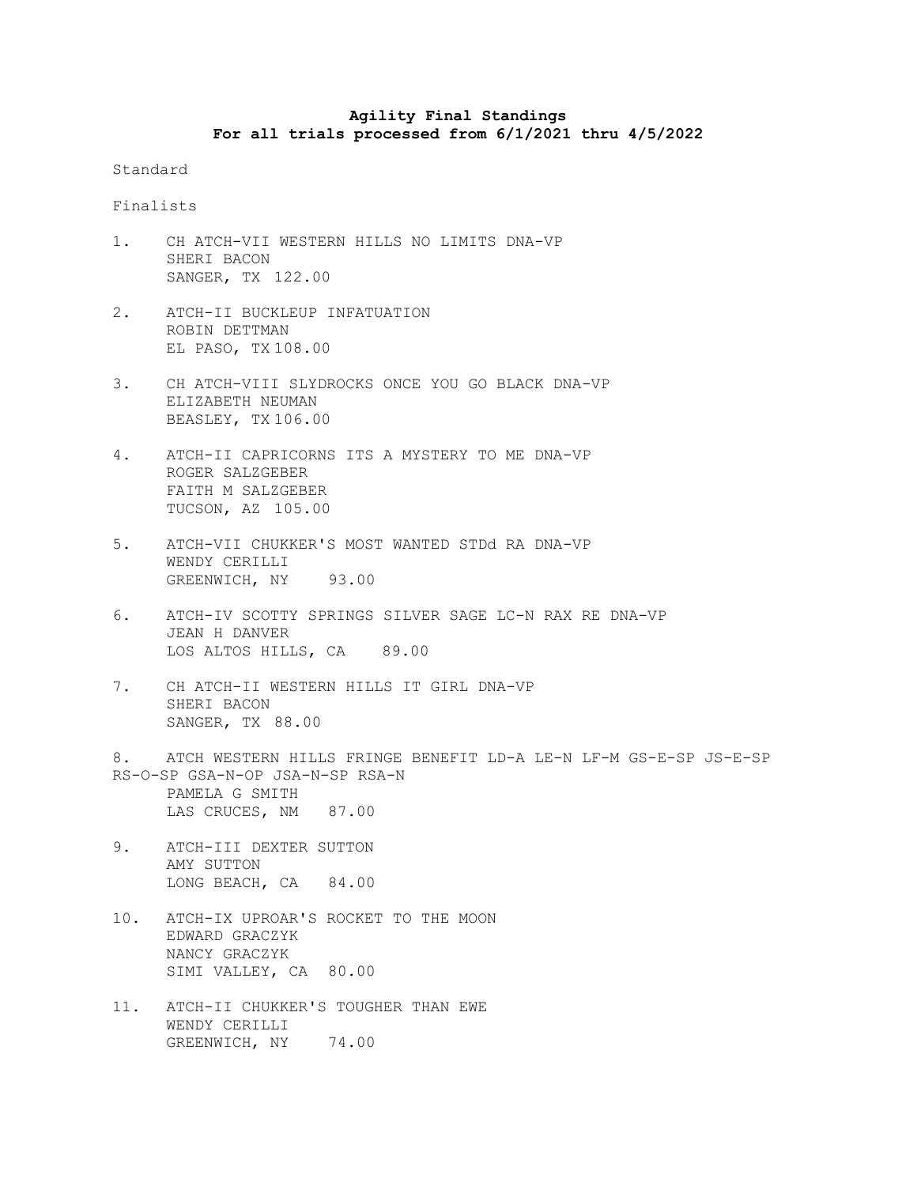## **Agility Final Standings For all trials processed from 6/1/2021 thru 4/5/2022**

Standard

Finalists

- 1. CH ATCH-VII WESTERN HILLS NO LIMITS DNA-VP SHERI BACON SANGER, TX 122.00
- 2. ATCH-II BUCKLEUP INFATUATION ROBIN DETTMAN EL PASO, TX 108.00
- 3. CH ATCH-VIII SLYDROCKS ONCE YOU GO BLACK DNA-VP ELIZABETH NEUMAN BEASLEY, TX 106.00
- 4. ATCH-II CAPRICORNS ITS A MYSTERY TO ME DNA-VP ROGER SALZGEBER FAITH M SALZGEBER TUCSON, AZ 105.00
- 5. ATCH-VII CHUKKER'S MOST WANTED STDd RA DNA-VP WENDY CERILLI GREENWICH, NY 93.00
- 6. ATCH-IV SCOTTY SPRINGS SILVER SAGE LC-N RAX RE DNA-VP JEAN H DANVER LOS ALTOS HILLS, CA 89.00
- 7. CH ATCH-II WESTERN HILLS IT GIRL DNA-VP SHERI BACON SANGER, TX 88.00
- 8. ATCH WESTERN HILLS FRINGE BENEFIT LD-A LE-N LF-M GS-E-SP JS-E-SP RS-O-SP GSA-N-OP JSA-N-SP RSA-N PAMELA G SMITH LAS CRUCES, NM 87.00
- 9. ATCH-III DEXTER SUTTON AMY SUTTON LONG BEACH, CA 84.00
- 10. ATCH-IX UPROAR'S ROCKET TO THE MOON EDWARD GRACZYK NANCY GRACZYK SIMI VALLEY, CA 80.00
- 11. ATCH-II CHUKKER'S TOUGHER THAN EWE WENDY CERILLI GREENWICH, NY 74.00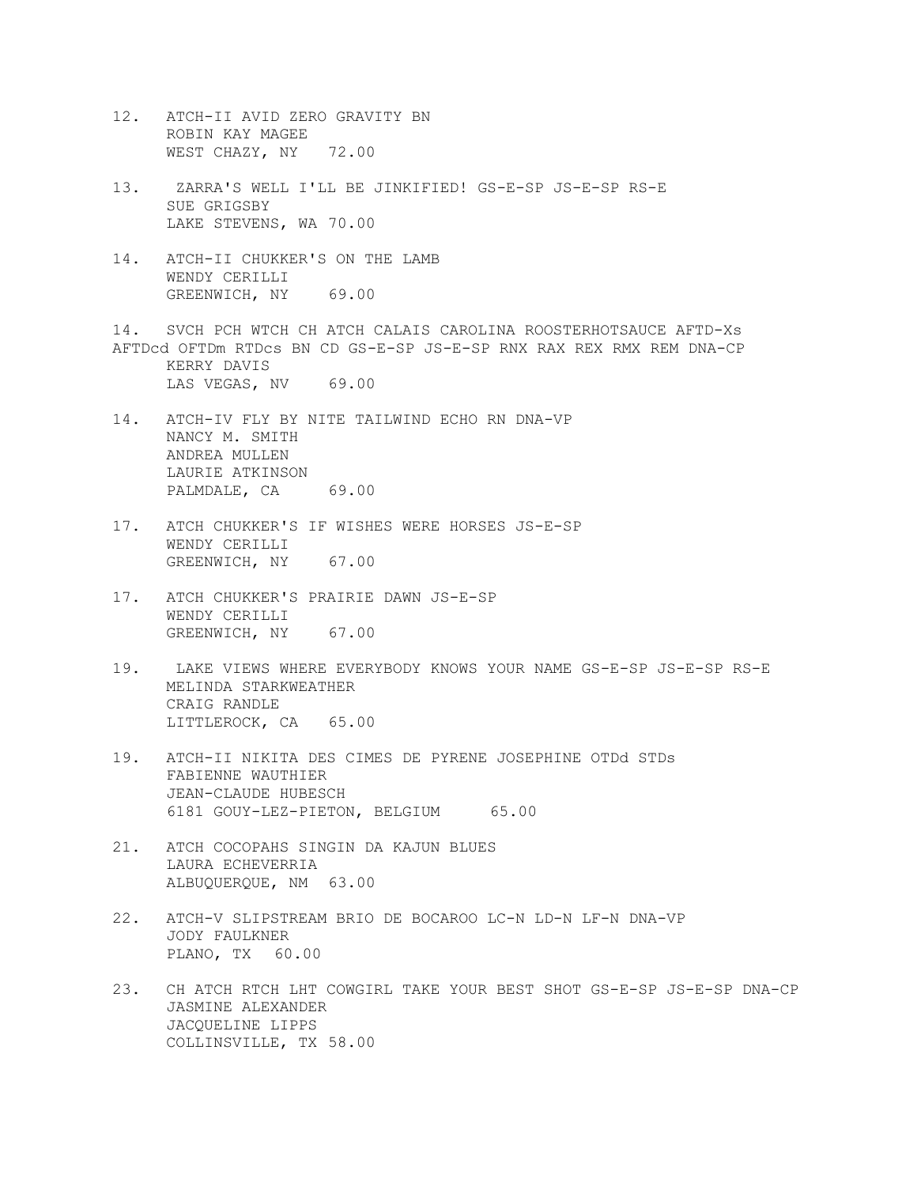- 12. ATCH-II AVID ZERO GRAVITY BN ROBIN KAY MAGEE WEST CHAZY, NY 72.00
- 13. ZARRA'S WELL I'LL BE JINKIFIED! GS-E-SP JS-E-SP RS-E SUE GRIGSBY LAKE STEVENS, WA 70.00
- 14. ATCH-II CHUKKER'S ON THE LAMB WENDY CERILLI GREENWICH, NY 69.00

14. SVCH PCH WTCH CH ATCH CALAIS CAROLINA ROOSTERHOTSAUCE AFTD-Xs AFTDcd OFTDm RTDcs BN CD GS-E-SP JS-E-SP RNX RAX REX RMX REM DNA-CP KERRY DAVIS LAS VEGAS, NV 69.00

- 14. ATCH-IV FLY BY NITE TAILWIND ECHO RN DNA-VP NANCY M. SMITH ANDREA MULLEN LAURIE ATKINSON PALMDALE, CA 69.00
- 17. ATCH CHUKKER'S IF WISHES WERE HORSES JS-E-SP WENDY CERILLI GREENWICH, NY 67.00
- 17. ATCH CHUKKER'S PRAIRIE DAWN JS-E-SP WENDY CERILLI GREENWICH, NY 67.00
- 19. LAKE VIEWS WHERE EVERYBODY KNOWS YOUR NAME GS-E-SP JS-E-SP RS-E MELINDA STARKWEATHER CRAIG RANDLE LITTLEROCK, CA 65.00
- 19. ATCH-II NIKITA DES CIMES DE PYRENE JOSEPHINE OTDd STDs FABIENNE WAUTHIER JEAN-CLAUDE HUBESCH 6181 GOUY-LEZ-PIETON, BELGIUM 65.00
- 21. ATCH COCOPAHS SINGIN DA KAJUN BLUES LAURA ECHEVERRIA ALBUQUERQUE, NM 63.00
- 22. ATCH-V SLIPSTREAM BRIO DE BOCAROO LC-N LD-N LF-N DNA-VP JODY FAULKNER PLANO, TX 60.00
- 23. CH ATCH RTCH LHT COWGIRL TAKE YOUR BEST SHOT GS-E-SP JS-E-SP DNA-CP JASMINE ALEXANDER JACQUELINE LIPPS COLLINSVILLE, TX 58.00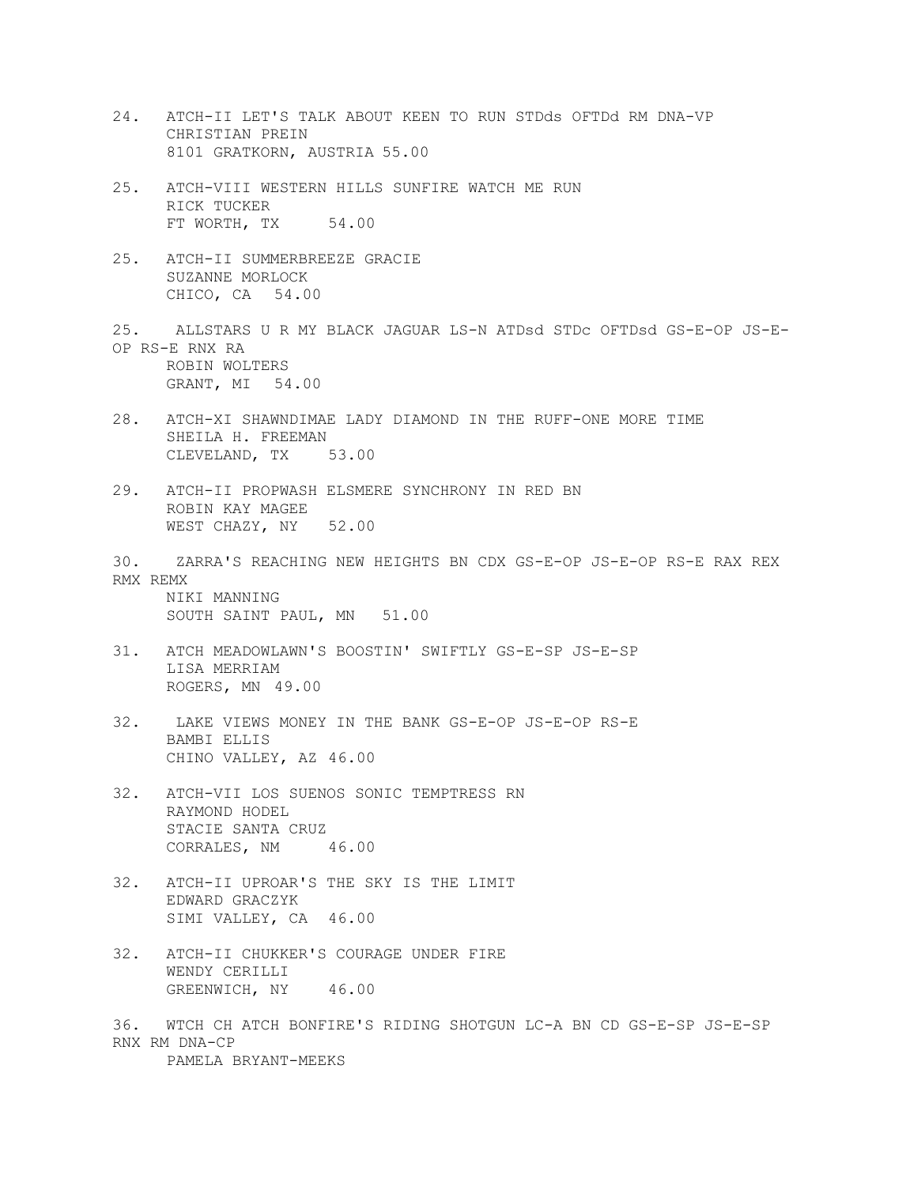- 24. ATCH-II LET'S TALK ABOUT KEEN TO RUN STDds OFTDd RM DNA-VP CHRISTIAN PREIN 8101 GRATKORN, AUSTRIA 55.00
- 25. ATCH-VIII WESTERN HILLS SUNFIRE WATCH ME RUN RICK TUCKER FT WORTH, TX 54.00
- 25. ATCH-II SUMMERBREEZE GRACIE SUZANNE MORLOCK CHICO, CA 54.00
- 25. ALLSTARS U R MY BLACK JAGUAR LS-N ATDsd STDc OFTDsd GS-E-OP JS-E-OP RS-E RNX RA ROBIN WOLTERS GRANT, MI 54.00
- 28. ATCH-XI SHAWNDIMAE LADY DIAMOND IN THE RUFF-ONE MORE TIME SHEILA H. FREEMAN CLEVELAND, TX 53.00
- 29. ATCH-II PROPWASH ELSMERE SYNCHRONY IN RED BN ROBIN KAY MAGEE WEST CHAZY, NY 52.00
- 30. ZARRA'S REACHING NEW HEIGHTS BN CDX GS-E-OP JS-E-OP RS-E RAX REX RMX REMX NIKI MANNING

SOUTH SAINT PAUL, MN 51.00

- 31. ATCH MEADOWLAWN'S BOOSTIN' SWIFTLY GS-E-SP JS-E-SP LISA MERRIAM ROGERS, MN 49.00
- 32. LAKE VIEWS MONEY IN THE BANK GS-E-OP JS-E-OP RS-E BAMBI ELLIS CHINO VALLEY, AZ 46.00
- 32. ATCH-VII LOS SUENOS SONIC TEMPTRESS RN RAYMOND HODEL STACIE SANTA CRUZ CORRALES, NM 46.00
- 32. ATCH-II UPROAR'S THE SKY IS THE LIMIT EDWARD GRACZYK SIMI VALLEY, CA 46.00
- 32. ATCH-II CHUKKER'S COURAGE UNDER FIRE WENDY CERILLI GREENWICH, NY 46.00

36. WTCH CH ATCH BONFIRE'S RIDING SHOTGUN LC-A BN CD GS-E-SP JS-E-SP RNX RM DNA-CP PAMELA BRYANT-MEEKS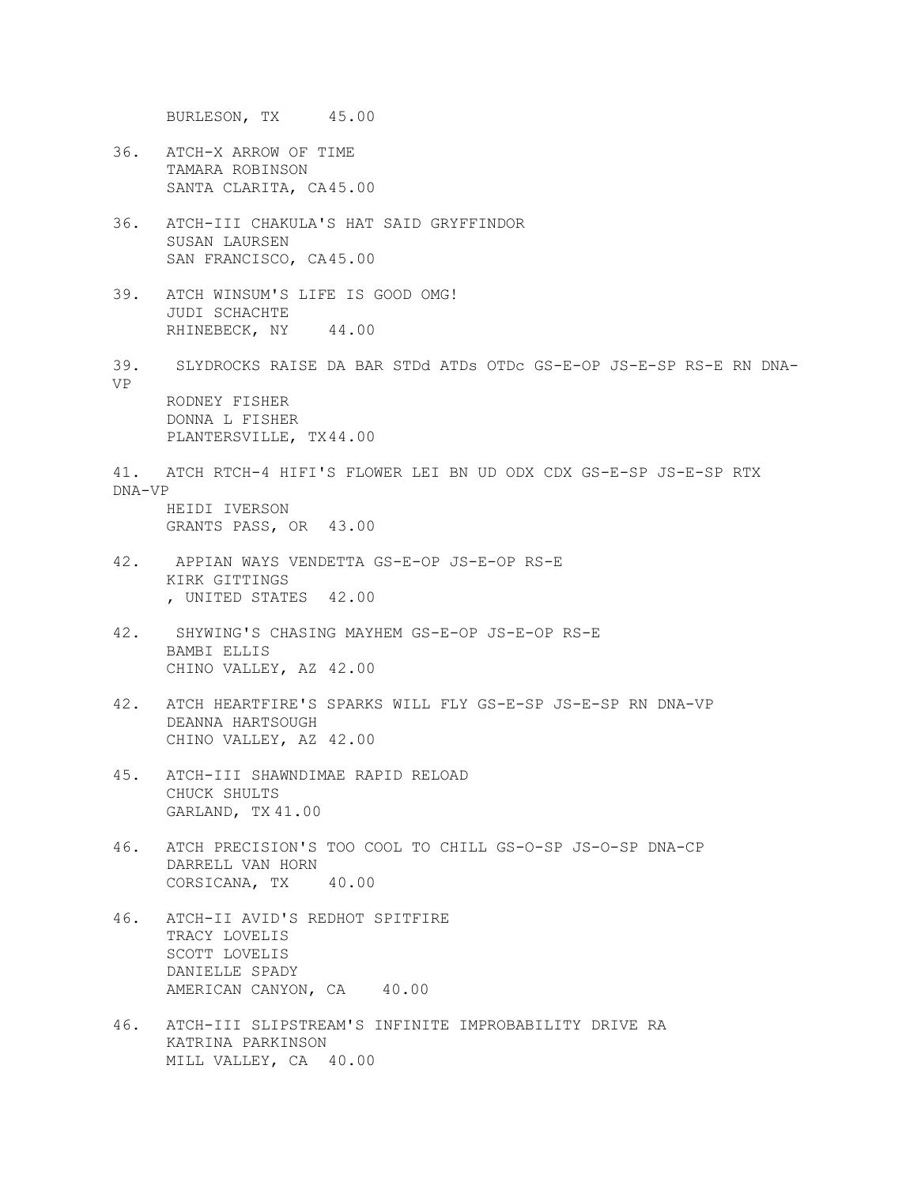BURLESON, TX 45.00

- 36. ATCH-X ARROW OF TIME TAMARA ROBINSON SANTA CLARITA, CA45.00
- 36. ATCH-III CHAKULA'S HAT SAID GRYFFINDOR SUSAN LAURSEN SAN FRANCISCO, CA45.00
- 39. ATCH WINSUM'S LIFE IS GOOD OMG! JUDI SCHACHTE RHINEBECK, NY 44.00
- 39. SLYDROCKS RAISE DA BAR STDd ATDs OTDc GS-E-OP JS-E-SP RS-E RN DNA-VP RODNEY FISHER

DONNA L FISHER PLANTERSVILLE, TX44.00

- 41. ATCH RTCH-4 HIFI'S FLOWER LEI BN UD ODX CDX GS-E-SP JS-E-SP RTX DNA-VP HEIDI IVERSON GRANTS PASS, OR 43.00
- 42. APPIAN WAYS VENDETTA GS-E-OP JS-E-OP RS-E KIRK GITTINGS
	- , UNITED STATES 42.00
- 42. SHYWING'S CHASING MAYHEM GS-E-OP JS-E-OP RS-E BAMBI ELLIS CHINO VALLEY, AZ 42.00
- 42. ATCH HEARTFIRE'S SPARKS WILL FLY GS-E-SP JS-E-SP RN DNA-VP DEANNA HARTSOUGH CHINO VALLEY, AZ 42.00
- 45. ATCH-III SHAWNDIMAE RAPID RELOAD CHUCK SHULTS GARLAND, TX 41.00
- 46. ATCH PRECISION'S TOO COOL TO CHILL GS-O-SP JS-O-SP DNA-CP DARRELL VAN HORN CORSICANA, TX 40.00
- 46. ATCH-II AVID'S REDHOT SPITFIRE TRACY LOVELIS SCOTT LOVELIS DANIELLE SPADY AMERICAN CANYON, CA 40.00
- 46. ATCH-III SLIPSTREAM'S INFINITE IMPROBABILITY DRIVE RA KATRINA PARKINSON MILL VALLEY, CA 40.00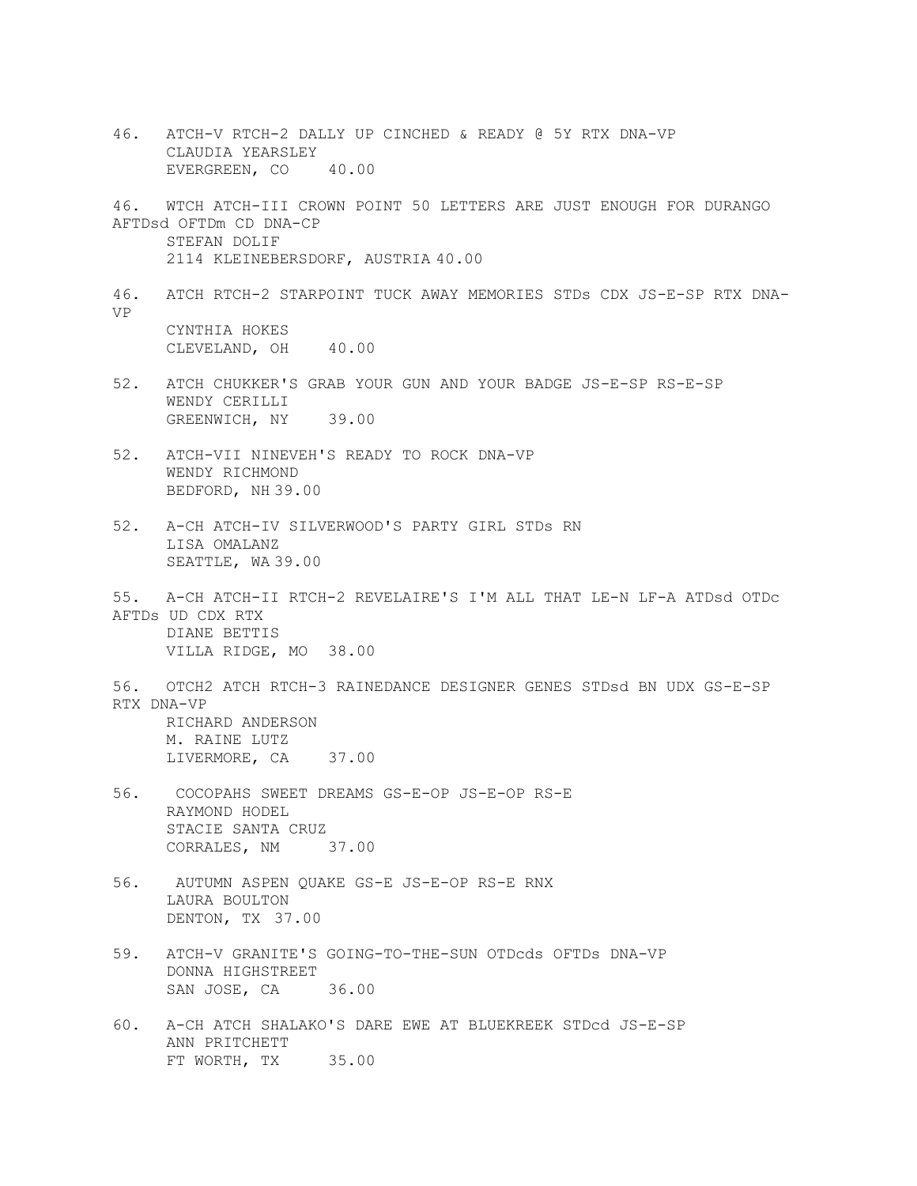46. ATCH-V RTCH-2 DALLY UP CINCHED & READY @ 5Y RTX DNA-VP CLAUDIA YEARSLEY EVERGREEN, CO 40.00 46. WTCH ATCH-III CROWN POINT 50 LETTERS ARE JUST ENOUGH FOR DURANGO AFTDsd OFTDm CD DNA-CP STEFAN DOLIF 2114 KLEINEBERSDORF, AUSTRIA 40.00 46. ATCH RTCH-2 STARPOINT TUCK AWAY MEMORIES STDs CDX JS-E-SP RTX DNA-VP CYNTHIA HOKES CLEVELAND, OH 40.00 52. ATCH CHUKKER'S GRAB YOUR GUN AND YOUR BADGE JS-E-SP RS-E-SP WENDY CERILLI GREENWICH, NY 39.00 52. ATCH-VII NINEVEH'S READY TO ROCK DNA-VP WENDY RICHMOND BEDFORD, NH 39.00 52. A-CH ATCH-IV SILVERWOOD'S PARTY GIRL STDs RN LISA OMALANZ SEATTLE, WA 39.00 55. A-CH ATCH-II RTCH-2 REVELAIRE'S I'M ALL THAT LE-N LF-A ATDsd OTDc AFTDs UD CDX RTX DIANE BETTIS VILLA RIDGE, MO 38.00 56. OTCH2 ATCH RTCH-3 RAINEDANCE DESIGNER GENES STDsd BN UDX GS-E-SP RTX DNA-VP RICHARD ANDERSON M. RAINE LUTZ LIVERMORE, CA 37.00 56. COCOPAHS SWEET DREAMS GS-E-OP JS-E-OP RS-E RAYMOND HODEL STACIE SANTA CRUZ CORRALES, NM 37.00 56. AUTUMN ASPEN QUAKE GS-E JS-E-OP RS-E RNX LAURA BOULTON DENTON, TX 37.00 59. ATCH-V GRANITE'S GOING-TO-THE-SUN OTDcds OFTDs DNA-VP DONNA HIGHSTREET SAN JOSE, CA 36.00 60. A-CH ATCH SHALAKO'S DARE EWE AT BLUEKREEK STDcd JS-E-SP ANN PRITCHETT FT WORTH, TX 35.00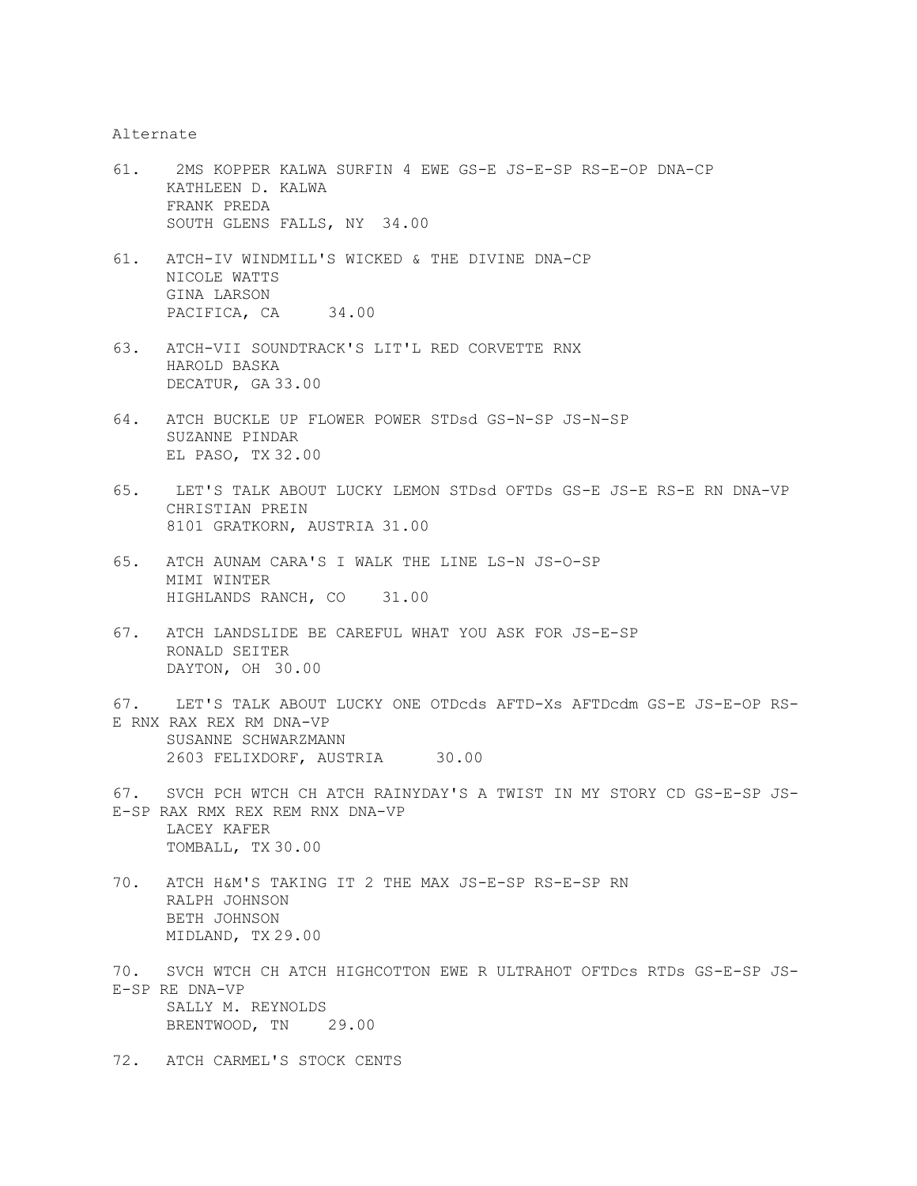Alternate

- 61. 2MS KOPPER KALWA SURFIN 4 EWE GS-E JS-E-SP RS-E-OP DNA-CP KATHLEEN D. KALWA FRANK PREDA SOUTH GLENS FALLS, NY 34.00
- 61. ATCH-IV WINDMILL'S WICKED & THE DIVINE DNA-CP NICOLE WATTS GINA LARSON PACIFICA, CA 34.00
- 63. ATCH-VII SOUNDTRACK'S LIT'L RED CORVETTE RNX HAROLD BASKA DECATUR, GA 33.00
- 64. ATCH BUCKLE UP FLOWER POWER STDsd GS-N-SP JS-N-SP SUZANNE PINDAR EL PASO, TX 32.00
- 65. LET'S TALK ABOUT LUCKY LEMON STDsd OFTDs GS-E JS-E RS-E RN DNA-VP CHRISTIAN PREIN 8101 GRATKORN, AUSTRIA 31.00
- 65. ATCH AUNAM CARA'S I WALK THE LINE LS-N JS-O-SP MIMI WINTER HIGHLANDS RANCH, CO 31.00
- 67. ATCH LANDSLIDE BE CAREFUL WHAT YOU ASK FOR JS-E-SP RONALD SEITER DAYTON, OH 30.00
- 67. LET'S TALK ABOUT LUCKY ONE OTDcds AFTD-Xs AFTDcdm GS-E JS-E-OP RS-E RNX RAX REX RM DNA-VP SUSANNE SCHWARZMANN 2603 FELIXDORF, AUSTRIA 30.00
- 67. SVCH PCH WTCH CH ATCH RAINYDAY'S A TWIST IN MY STORY CD GS-E-SP JS-E-SP RAX RMX REX REM RNX DNA-VP LACEY KAFER TOMBALL, TX 30.00
- 70. ATCH H&M'S TAKING IT 2 THE MAX JS-E-SP RS-E-SP RN RALPH JOHNSON BETH JOHNSON MIDLAND, TX 29.00
- 70. SVCH WTCH CH ATCH HIGHCOTTON EWE R ULTRAHOT OFTDcs RTDs GS-E-SP JS-E-SP RE DNA-VP SALLY M. REYNOLDS BRENTWOOD, TN 29.00
- 72. ATCH CARMEL'S STOCK CENTS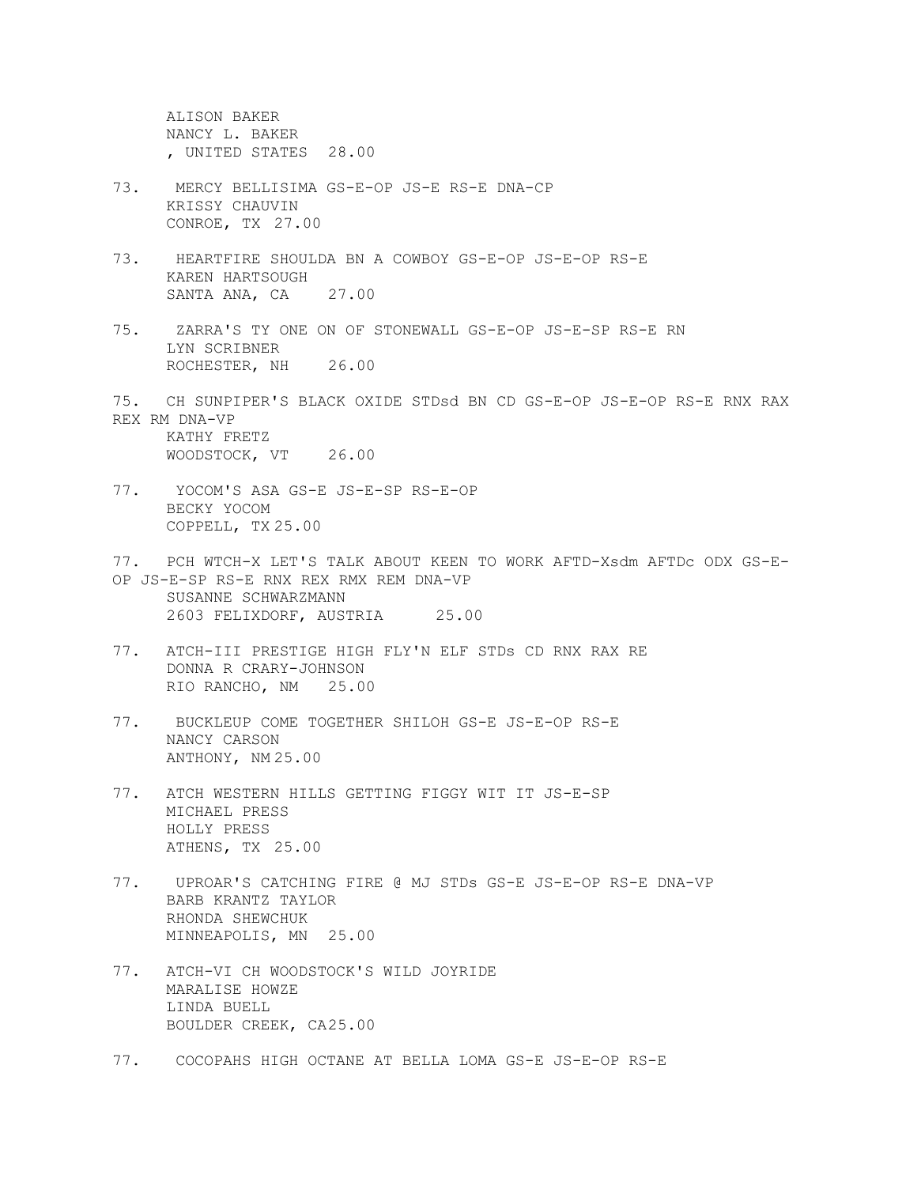ALISON BAKER NANCY L. BAKER , UNITED STATES 28.00

- 73. MERCY BELLISIMA GS-E-OP JS-E RS-E DNA-CP KRISSY CHAUVIN CONROE, TX 27.00
- 73. HEARTFIRE SHOULDA BN A COWBOY GS-E-OP JS-E-OP RS-E KAREN HARTSOUGH SANTA ANA, CA 27.00
- 75. ZARRA'S TY ONE ON OF STONEWALL GS-E-OP JS-E-SP RS-E RN LYN SCRIBNER ROCHESTER, NH 26.00
- 75. CH SUNPIPER'S BLACK OXIDE STDsd BN CD GS-E-OP JS-E-OP RS-E RNX RAX REX RM DNA-VP KATHY FRETZ WOODSTOCK, VT 26.00
- 77. YOCOM'S ASA GS-E JS-E-SP RS-E-OP BECKY YOCOM COPPELL, TX 25.00
- 77. PCH WTCH-X LET'S TALK ABOUT KEEN TO WORK AFTD-Xsdm AFTDc ODX GS-E-OP JS-E-SP RS-E RNX REX RMX REM DNA-VP SUSANNE SCHWARZMANN 2603 FELIXDORF, AUSTRIA 25.00
- 77. ATCH-III PRESTIGE HIGH FLY'N ELF STDs CD RNX RAX RE DONNA R CRARY-JOHNSON RIO RANCHO, NM 25.00
- 77. BUCKLEUP COME TOGETHER SHILOH GS-E JS-E-OP RS-E NANCY CARSON ANTHONY, NM 25.00
- 77. ATCH WESTERN HILLS GETTING FIGGY WIT IT JS-E-SP MICHAEL PRESS HOLLY PRESS ATHENS, TX 25.00
- 77. UPROAR'S CATCHING FIRE @ MJ STDs GS-E JS-E-OP RS-E DNA-VP BARB KRANTZ TAYLOR RHONDA SHEWCHUK MINNEAPOLIS, MN 25.00
- 77. ATCH-VI CH WOODSTOCK'S WILD JOYRIDE MARALISE HOWZE LINDA BUELL BOULDER CREEK, CA25.00
- 77. COCOPAHS HIGH OCTANE AT BELLA LOMA GS-E JS-E-OP RS-E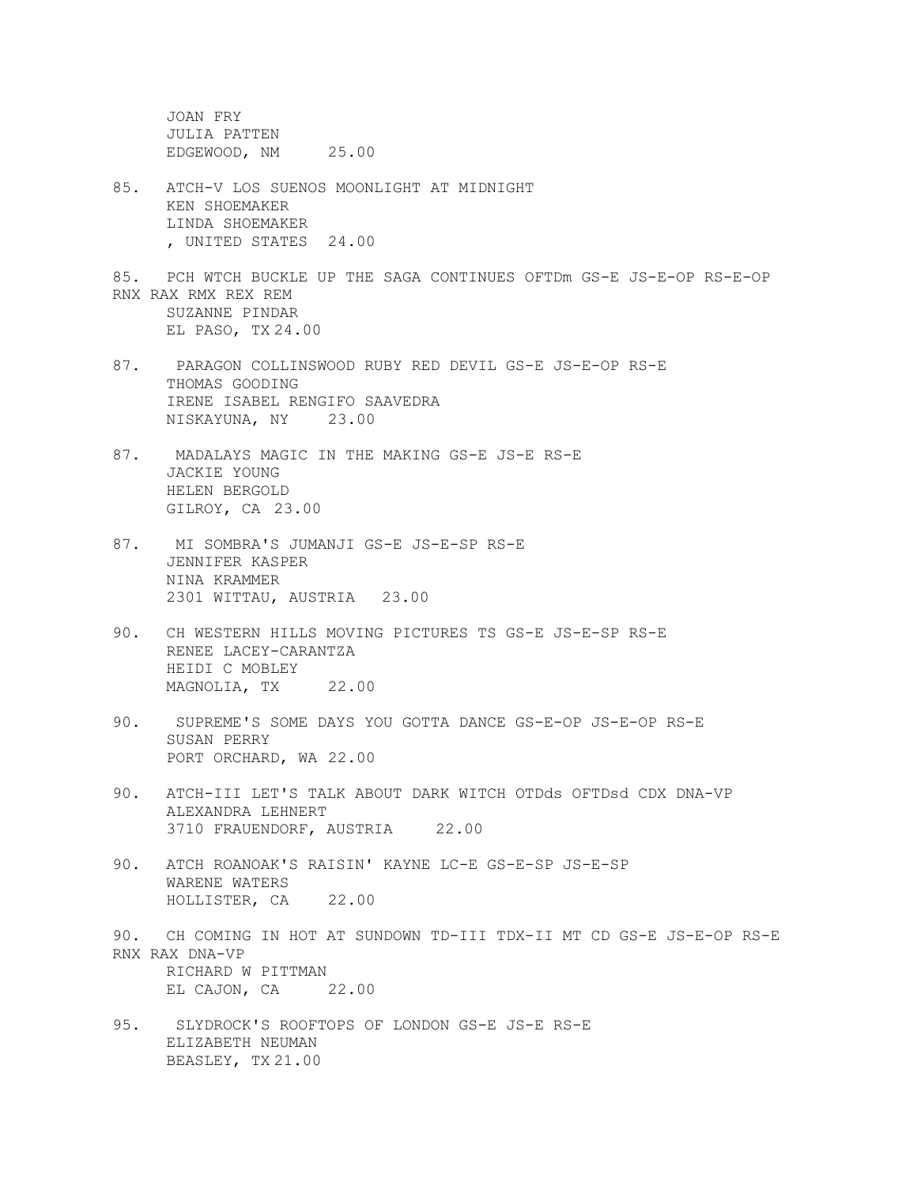JOAN FRY JULIA PATTEN EDGEWOOD, NM 25.00

- 85. ATCH-V LOS SUENOS MOONLIGHT AT MIDNIGHT KEN SHOEMAKER LINDA SHOEMAKER , UNITED STATES 24.00
- 85. PCH WTCH BUCKLE UP THE SAGA CONTINUES OFTDm GS-E JS-E-OP RS-E-OP RNX RAX RMX REX REM SUZANNE PINDAR EL PASO, TX 24.00
- 87. PARAGON COLLINSWOOD RUBY RED DEVIL GS-E JS-E-OP RS-E THOMAS GOODING IRENE ISABEL RENGIFO SAAVEDRA NISKAYUNA, NY 23.00
- 87. MADALAYS MAGIC IN THE MAKING GS-E JS-E RS-E JACKIE YOUNG HELEN BERGOLD GILROY, CA 23.00
- 87. MI SOMBRA'S JUMANJI GS-E JS-E-SP RS-E JENNIFER KASPER NINA KRAMMER 2301 WITTAU, AUSTRIA 23.00
- 90. CH WESTERN HILLS MOVING PICTURES TS GS-E JS-E-SP RS-E RENEE LACEY-CARANTZA HEIDI C MOBLEY MAGNOLIA, TX 22.00
- 90. SUPREME'S SOME DAYS YOU GOTTA DANCE GS-E-OP JS-E-OP RS-E SUSAN PERRY PORT ORCHARD, WA 22.00
- 90. ATCH-III LET'S TALK ABOUT DARK WITCH OTDds OFTDsd CDX DNA-VP ALEXANDRA LEHNERT 3710 FRAUENDORF, AUSTRIA 22.00
- 90. ATCH ROANOAK'S RAISIN' KAYNE LC-E GS-E-SP JS-E-SP WARENE WATERS HOLLISTER, CA 22.00
- 90. CH COMING IN HOT AT SUNDOWN TD-III TDX-II MT CD GS-E JS-E-OP RS-E RNX RAX DNA-VP RICHARD W PITTMAN EL CAJON, CA 22.00
- 95. SLYDROCK'S ROOFTOPS OF LONDON GS-E JS-E RS-E ELIZABETH NEUMAN BEASLEY, TX 21.00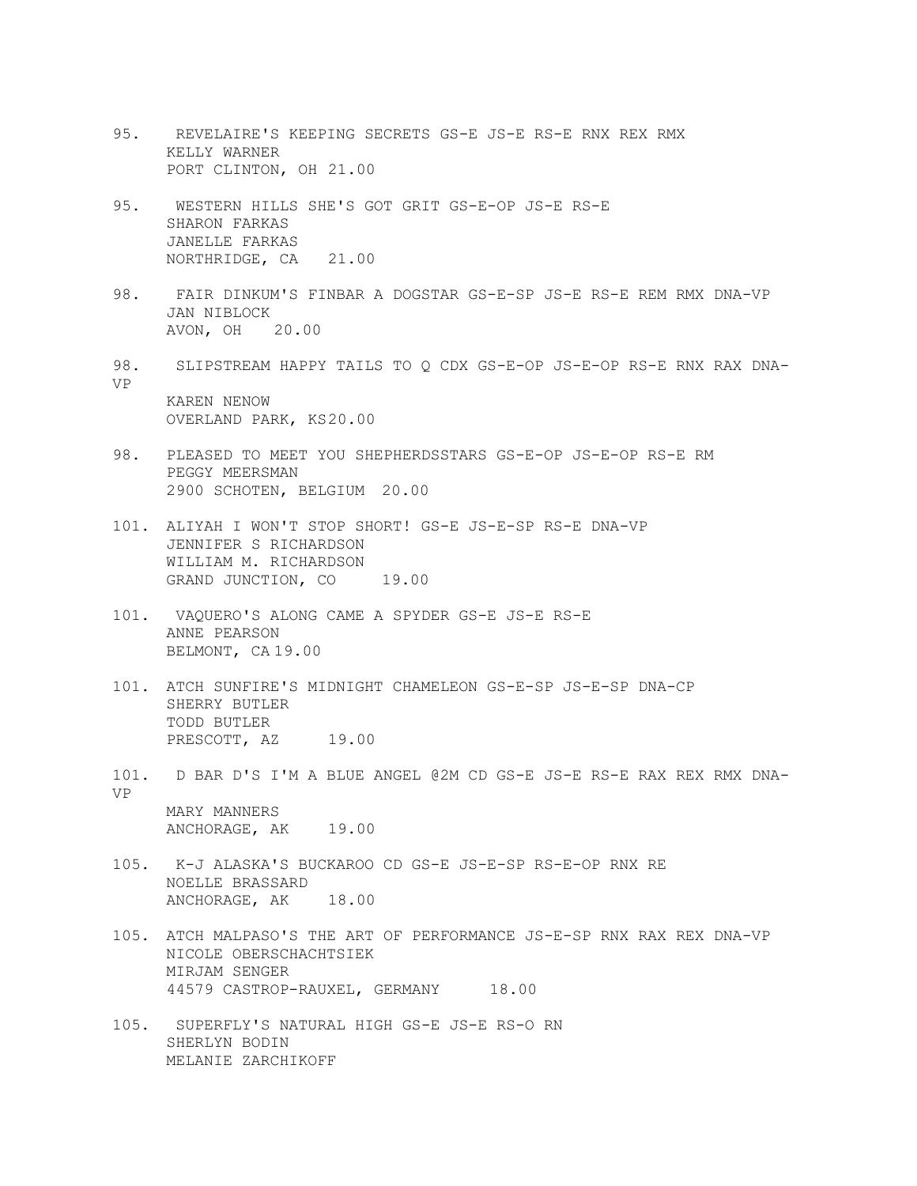- 95. REVELAIRE'S KEEPING SECRETS GS-E JS-E RS-E RNX REX RMX KELLY WARNER PORT CLINTON, OH 21.00
- 95. WESTERN HILLS SHE'S GOT GRIT GS-E-OP JS-E RS-E SHARON FARKAS JANELLE FARKAS NORTHRIDGE, CA 21.00
- 98. FAIR DINKUM'S FINBAR A DOGSTAR GS-E-SP JS-E RS-E REM RMX DNA-VP JAN NIBLOCK AVON, OH 20.00
- 98. SLIPSTREAM HAPPY TAILS TO Q CDX GS-E-OP JS-E-OP RS-E RNX RAX DNA-VP KAREN NENOW OVERLAND PARK, KS20.00
- 98. PLEASED TO MEET YOU SHEPHERDSSTARS GS-E-OP JS-E-OP RS-E RM PEGGY MEERSMAN 2900 SCHOTEN, BELGIUM 20.00
- 101. ALIYAH I WON'T STOP SHORT! GS-E JS-E-SP RS-E DNA-VP JENNIFER S RICHARDSON WILLIAM M. RICHARDSON GRAND JUNCTION, CO 19.00
- 101. VAQUERO'S ALONG CAME A SPYDER GS-E JS-E RS-E ANNE PEARSON BELMONT, CA 19.00
- 101. ATCH SUNFIRE'S MIDNIGHT CHAMELEON GS-E-SP JS-E-SP DNA-CP SHERRY BUTLER TODD BUTLER PRESCOTT, AZ 19.00
- 101. D BAR D'S I'M A BLUE ANGEL @2M CD GS-E JS-E RS-E RAX REX RMX DNA-VP MARY MANNERS ANCHORAGE, AK 19.00
- 105. K-J ALASKA'S BUCKAROO CD GS-E JS-E-SP RS-E-OP RNX RE NOELLE BRASSARD ANCHORAGE, AK 18.00
- 105. ATCH MALPASO'S THE ART OF PERFORMANCE JS-E-SP RNX RAX REX DNA-VP NICOLE OBERSCHACHTSIEK MIRJAM SENGER 44579 CASTROP-RAUXEL, GERMANY 18.00
- 105. SUPERFLY'S NATURAL HIGH GS-E JS-E RS-O RN SHERLYN BODIN MELANIE ZARCHIKOFF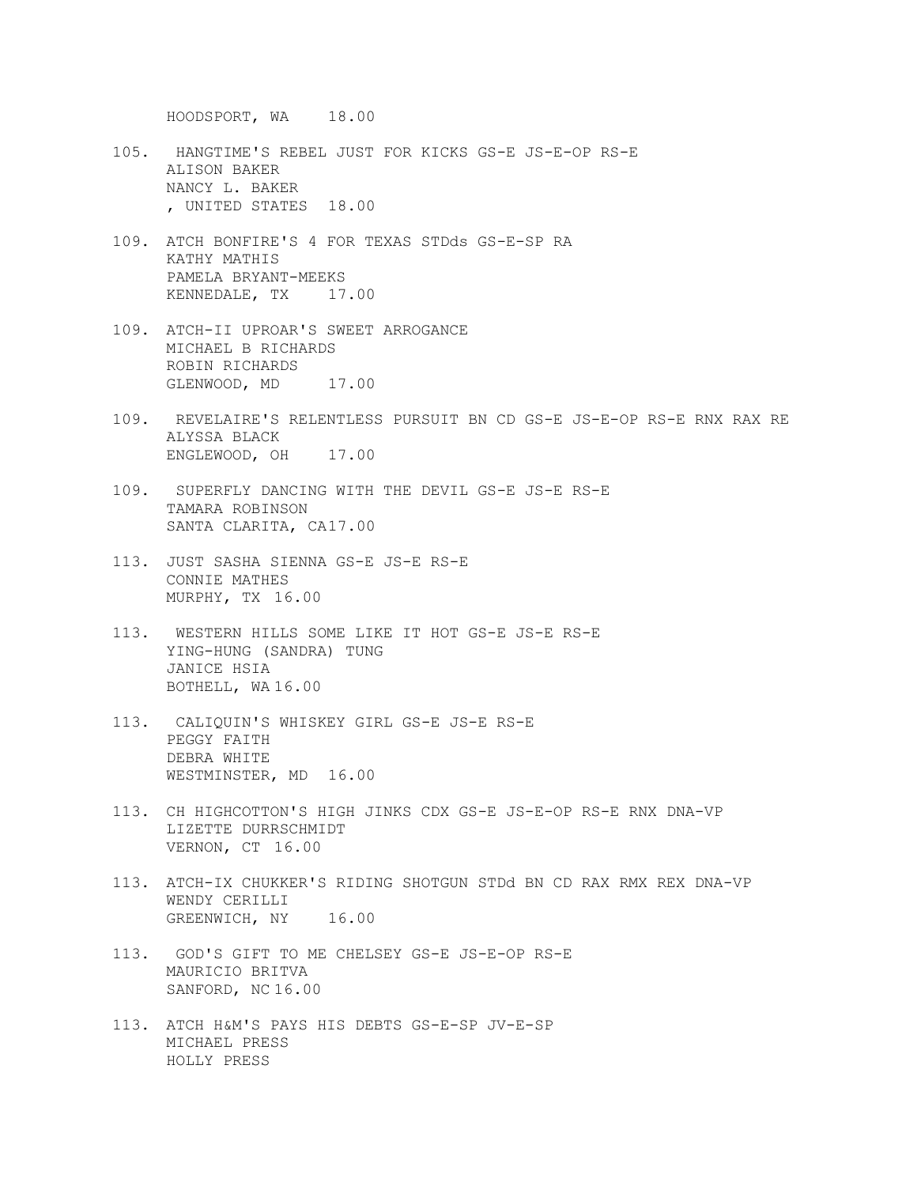HOODSPORT, WA 18.00

- 105. HANGTIME'S REBEL JUST FOR KICKS GS-E JS-E-OP RS-E ALISON BAKER NANCY L. BAKER , UNITED STATES 18.00
- 109. ATCH BONFIRE'S 4 FOR TEXAS STDds GS-E-SP RA KATHY MATHIS PAMELA BRYANT-MEEKS KENNEDALE, TX 17.00
- 109. ATCH-II UPROAR'S SWEET ARROGANCE MICHAEL B RICHARDS ROBIN RICHARDS GLENWOOD, MD 17.00
- 109. REVELAIRE'S RELENTLESS PURSUIT BN CD GS-E JS-E-OP RS-E RNX RAX RE ALYSSA BLACK ENGLEWOOD, OH 17.00
- 109. SUPERFLY DANCING WITH THE DEVIL GS-E JS-E RS-E TAMARA ROBINSON SANTA CLARITA, CA17.00
- 113. JUST SASHA SIENNA GS-E JS-E RS-E CONNIE MATHES MURPHY, TX 16.00
- 113. WESTERN HILLS SOME LIKE IT HOT GS-E JS-E RS-E YING-HUNG (SANDRA) TUNG JANICE HSIA BOTHELL, WA 16.00
- 113. CALIQUIN'S WHISKEY GIRL GS-E JS-E RS-E PEGGY FAITH DEBRA WHITE WESTMINSTER, MD 16.00
- 113. CH HIGHCOTTON'S HIGH JINKS CDX GS-E JS-E-OP RS-E RNX DNA-VP LIZETTE DURRSCHMIDT VERNON, CT 16.00
- 113. ATCH-IX CHUKKER'S RIDING SHOTGUN STDd BN CD RAX RMX REX DNA-VP WENDY CERILLI GREENWICH, NY 16.00
- 113. GOD'S GIFT TO ME CHELSEY GS-E JS-E-OP RS-E MAURICIO BRITVA SANFORD, NC 16.00
- 113. ATCH H&M'S PAYS HIS DEBTS GS-E-SP JV-E-SP MICHAEL PRESS HOLLY PRESS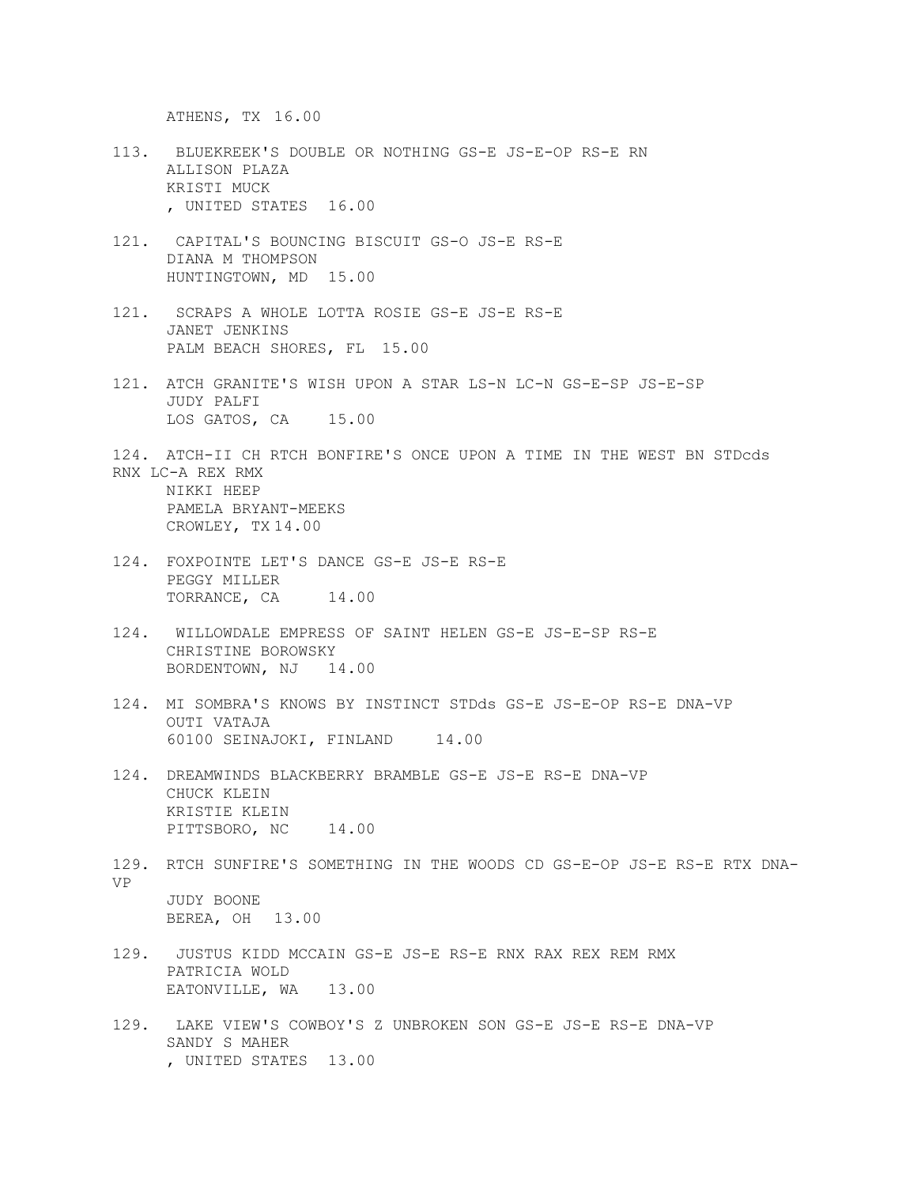ATHENS, TX 16.00

- 113. BLUEKREEK'S DOUBLE OR NOTHING GS-E JS-E-OP RS-E RN ALLISON PLAZA KRISTI MUCK , UNITED STATES 16.00
- 121. CAPITAL'S BOUNCING BISCUIT GS-O JS-E RS-E DIANA M THOMPSON HUNTINGTOWN, MD 15.00
- 121. SCRAPS A WHOLE LOTTA ROSIE GS-E JS-E RS-E JANET JENKINS PALM BEACH SHORES, FL 15.00
- 121. ATCH GRANITE'S WISH UPON A STAR LS-N LC-N GS-E-SP JS-E-SP JUDY PALFI LOS GATOS, CA 15.00
- 124. ATCH-II CH RTCH BONFIRE'S ONCE UPON A TIME IN THE WEST BN STDcds RNX LC-A REX RMX

NIKKI HEEP PAMELA BRYANT-MEEKS CROWLEY, TX 14.00

- 124. FOXPOINTE LET'S DANCE GS-E JS-E RS-E PEGGY MILLER TORRANCE, CA 14.00
- 124. WILLOWDALE EMPRESS OF SAINT HELEN GS-E JS-E-SP RS-E CHRISTINE BOROWSKY BORDENTOWN, NJ 14.00
- 124. MI SOMBRA'S KNOWS BY INSTINCT STDds GS-E JS-E-OP RS-E DNA-VP OUTI VATAJA 60100 SEINAJOKI, FINLAND 14.00
- 124. DREAMWINDS BLACKBERRY BRAMBLE GS-E JS-E RS-E DNA-VP CHUCK KLEIN KRISTIE KLEIN PITTSBORO, NC 14.00
- 129. RTCH SUNFIRE'S SOMETHING IN THE WOODS CD GS-E-OP JS-E RS-E RTX DNA-VP JUDY BOONE BEREA, OH 13.00
- 129. JUSTUS KIDD MCCAIN GS-E JS-E RS-E RNX RAX REX REM RMX PATRICIA WOLD EATONVILLE, WA 13.00
- 129. LAKE VIEW'S COWBOY'S Z UNBROKEN SON GS-E JS-E RS-E DNA-VP SANDY S MAHER , UNITED STATES 13.00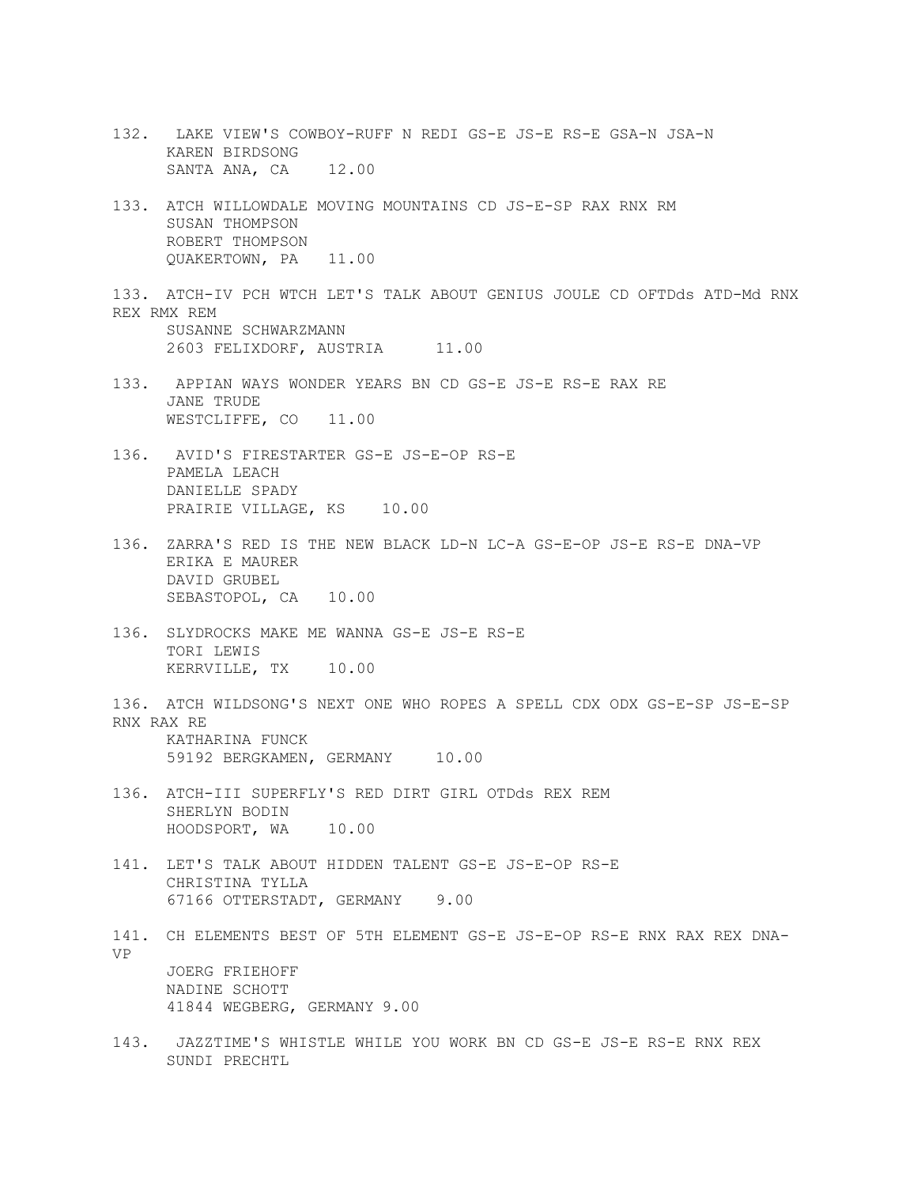- 132. LAKE VIEW'S COWBOY-RUFF N REDI GS-E JS-E RS-E GSA-N JSA-N KAREN BIRDSONG SANTA ANA, CA 12.00
- 133. ATCH WILLOWDALE MOVING MOUNTAINS CD JS-E-SP RAX RNX RM SUSAN THOMPSON ROBERT THOMPSON QUAKERTOWN, PA 11.00
- 133. ATCH-IV PCH WTCH LET'S TALK ABOUT GENIUS JOULE CD OFTDds ATD-Md RNX REX RMX REM SUSANNE SCHWARZMANN 2603 FELIXDORF, AUSTRIA 11.00
- 133. APPIAN WAYS WONDER YEARS BN CD GS-E JS-E RS-E RAX RE JANE TRUDE WESTCLIFFE, CO 11.00
- 136. AVID'S FIRESTARTER GS-E JS-E-OP RS-E PAMELA LEACH DANIELLE SPADY PRAIRIE VILLAGE, KS 10.00
- 136. ZARRA'S RED IS THE NEW BLACK LD-N LC-A GS-E-OP JS-E RS-E DNA-VP ERIKA E MAURER DAVID GRUBEL SEBASTOPOL, CA 10.00
- 136. SLYDROCKS MAKE ME WANNA GS-E JS-E RS-E TORI LEWIS KERRVILLE, TX 10.00
- 136. ATCH WILDSONG'S NEXT ONE WHO ROPES A SPELL CDX ODX GS-E-SP JS-E-SP RNX RAX RE KATHARINA FUNCK 59192 BERGKAMEN, GERMANY 10.00
- 136. ATCH-III SUPERFLY'S RED DIRT GIRL OTDds REX REM SHERLYN BODIN HOODSPORT, WA 10.00
- 141. LET'S TALK ABOUT HIDDEN TALENT GS-E JS-E-OP RS-E CHRISTINA TYLLA 67166 OTTERSTADT, GERMANY 9.00
- 141. CH ELEMENTS BEST OF 5TH ELEMENT GS-E JS-E-OP RS-E RNX RAX REX DNA-VP JOERG FRIEHOFF NADINE SCHOTT 41844 WEGBERG, GERMANY 9.00
- 143. JAZZTIME'S WHISTLE WHILE YOU WORK BN CD GS-E JS-E RS-E RNX REX SUNDI PRECHTL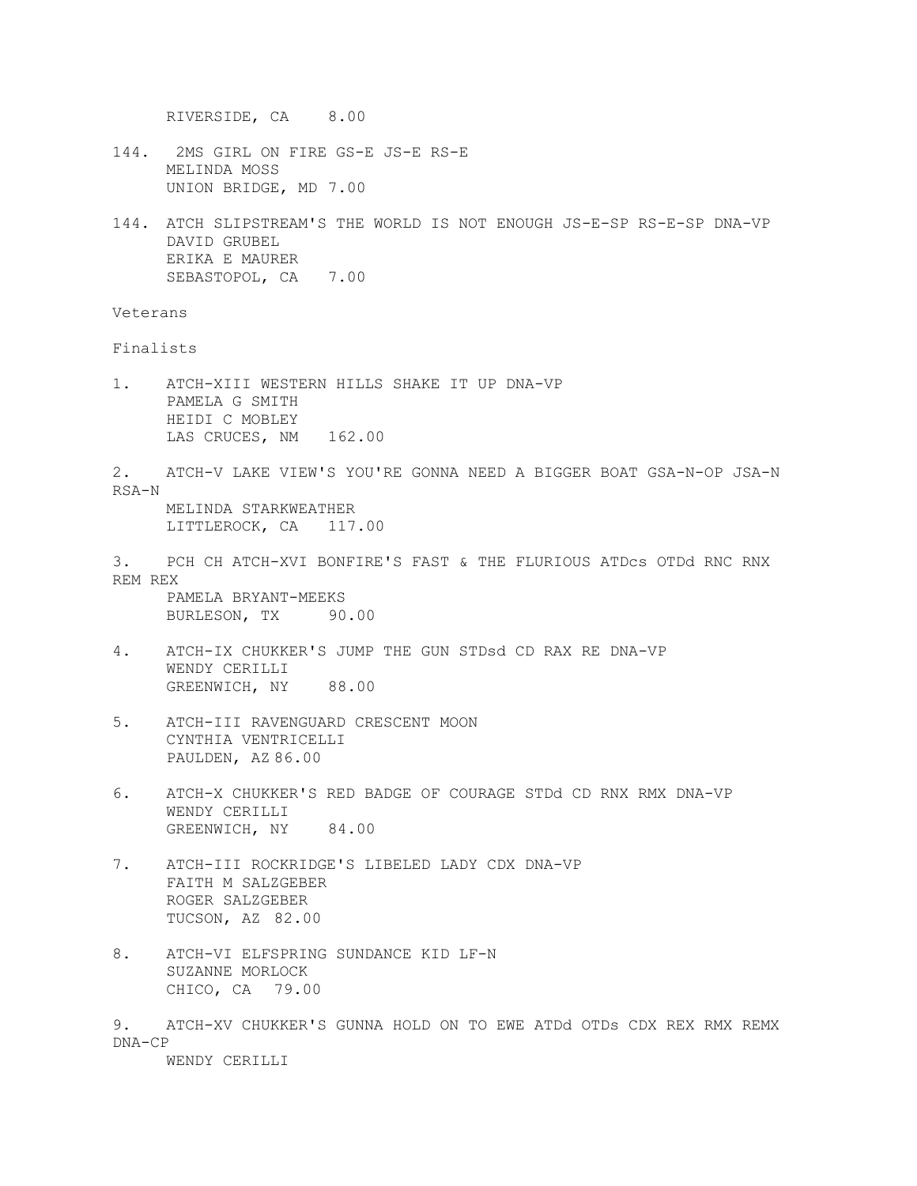RIVERSIDE, CA 8.00

- 144. 2MS GIRL ON FIRE GS-E JS-E RS-E MELINDA MOSS UNION BRIDGE, MD 7.00
- 144. ATCH SLIPSTREAM'S THE WORLD IS NOT ENOUGH JS-E-SP RS-E-SP DNA-VP DAVID GRUBEL ERIKA E MAURER SEBASTOPOL, CA 7.00

Veterans

Finalists

- 1. ATCH-XIII WESTERN HILLS SHAKE IT UP DNA-VP PAMELA G SMITH HEIDI C MOBLEY LAS CRUCES, NM 162.00
- 2. ATCH-V LAKE VIEW'S YOU'RE GONNA NEED A BIGGER BOAT GSA-N-OP JSA-N RSA-N MELINDA STARKWEATHER

LITTLEROCK, CA 117.00

3. PCH CH ATCH-XVI BONFIRE'S FAST & THE FLURIOUS ATDcs OTDd RNC RNX REM REX

PAMELA BRYANT-MEEKS BURLESON, TX 90.00

- 4. ATCH-IX CHUKKER'S JUMP THE GUN STDsd CD RAX RE DNA-VP WENDY CERILLI GREENWICH, NY 88.00
- 5. ATCH-III RAVENGUARD CRESCENT MOON CYNTHIA VENTRICELLI PAULDEN, AZ 86.00
- 6. ATCH-X CHUKKER'S RED BADGE OF COURAGE STDd CD RNX RMX DNA-VP WENDY CERILLI GREENWICH, NY 84.00
- 7. ATCH-III ROCKRIDGE'S LIBELED LADY CDX DNA-VP FAITH M SALZGEBER ROGER SALZGEBER TUCSON, AZ 82.00
- 8. ATCH-VI ELFSPRING SUNDANCE KID LF-N SUZANNE MORLOCK CHICO, CA 79.00
- 9. ATCH-XV CHUKKER'S GUNNA HOLD ON TO EWE ATDd OTDs CDX REX RMX REMX DNA-CP

WENDY CERILLI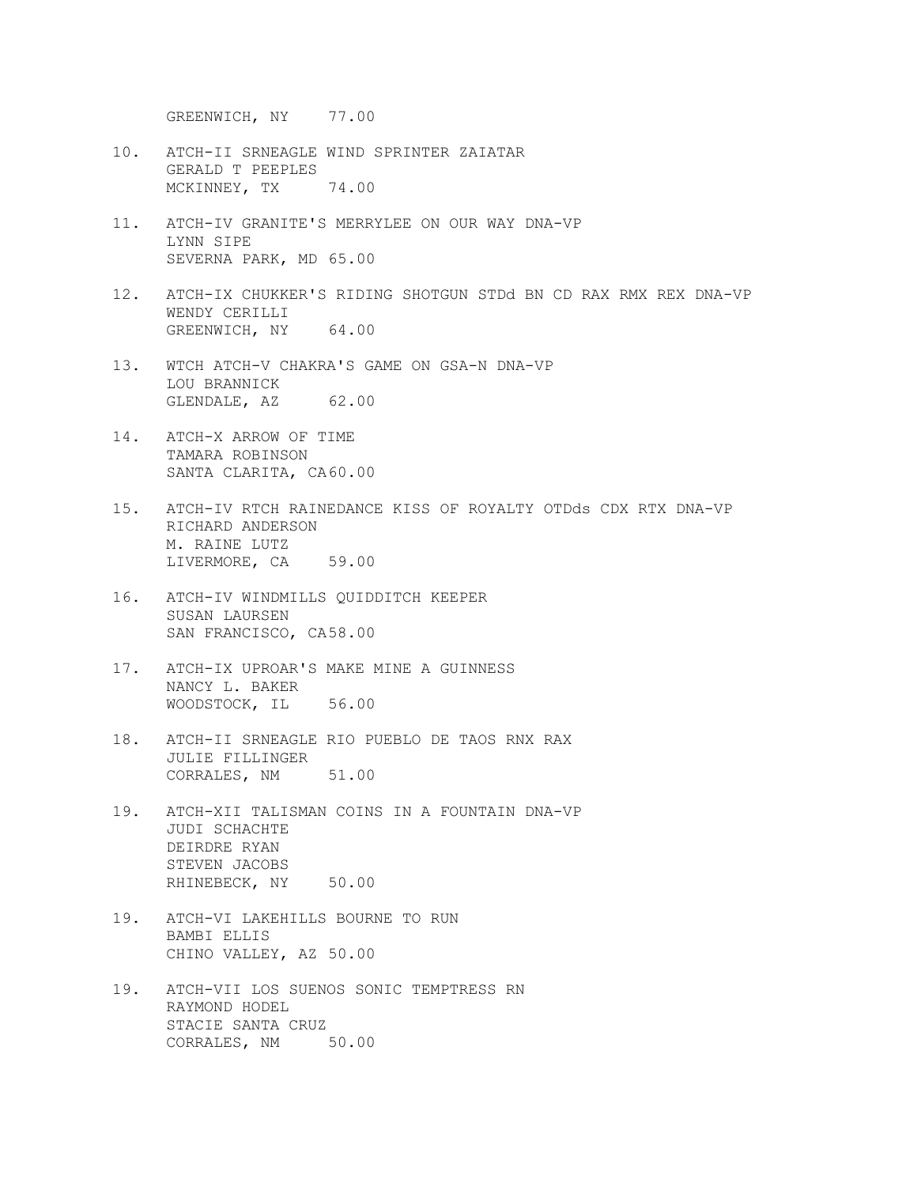GREENWICH, NY 77.00

- 10. ATCH-II SRNEAGLE WIND SPRINTER ZAIATAR GERALD T PEEPLES MCKINNEY, TX 74.00
- 11. ATCH-IV GRANITE'S MERRYLEE ON OUR WAY DNA-VP LYNN SIPE SEVERNA PARK, MD 65.00
- 12. ATCH-IX CHUKKER'S RIDING SHOTGUN STDd BN CD RAX RMX REX DNA-VP WENDY CERILLI GREENWICH, NY 64.00
- 13. WTCH ATCH-V CHAKRA'S GAME ON GSA-N DNA-VP LOU BRANNICK GLENDALE, AZ 62.00
- 14. ATCH-X ARROW OF TIME TAMARA ROBINSON SANTA CLARITA, CA60.00
- 15. ATCH-IV RTCH RAINEDANCE KISS OF ROYALTY OTDds CDX RTX DNA-VP RICHARD ANDERSON M. RAINE LUTZ LIVERMORE, CA 59.00
- 16. ATCH-IV WINDMILLS QUIDDITCH KEEPER SUSAN LAURSEN SAN FRANCISCO, CA58.00
- 17. ATCH-IX UPROAR'S MAKE MINE A GUINNESS NANCY L. BAKER WOODSTOCK, IL 56.00
- 18. ATCH-II SRNEAGLE RIO PUEBLO DE TAOS RNX RAX JULIE FILLINGER CORRALES, NM 51.00
- 19. ATCH-XII TALISMAN COINS IN A FOUNTAIN DNA-VP JUDI SCHACHTE DEIRDRE RYAN STEVEN JACOBS RHINEBECK, NY 50.00
- 19. ATCH-VI LAKEHILLS BOURNE TO RUN BAMBI ELLIS CHINO VALLEY, AZ 50.00
- 19. ATCH-VII LOS SUENOS SONIC TEMPTRESS RN RAYMOND HODEL STACIE SANTA CRUZ CORRALES, NM 50.00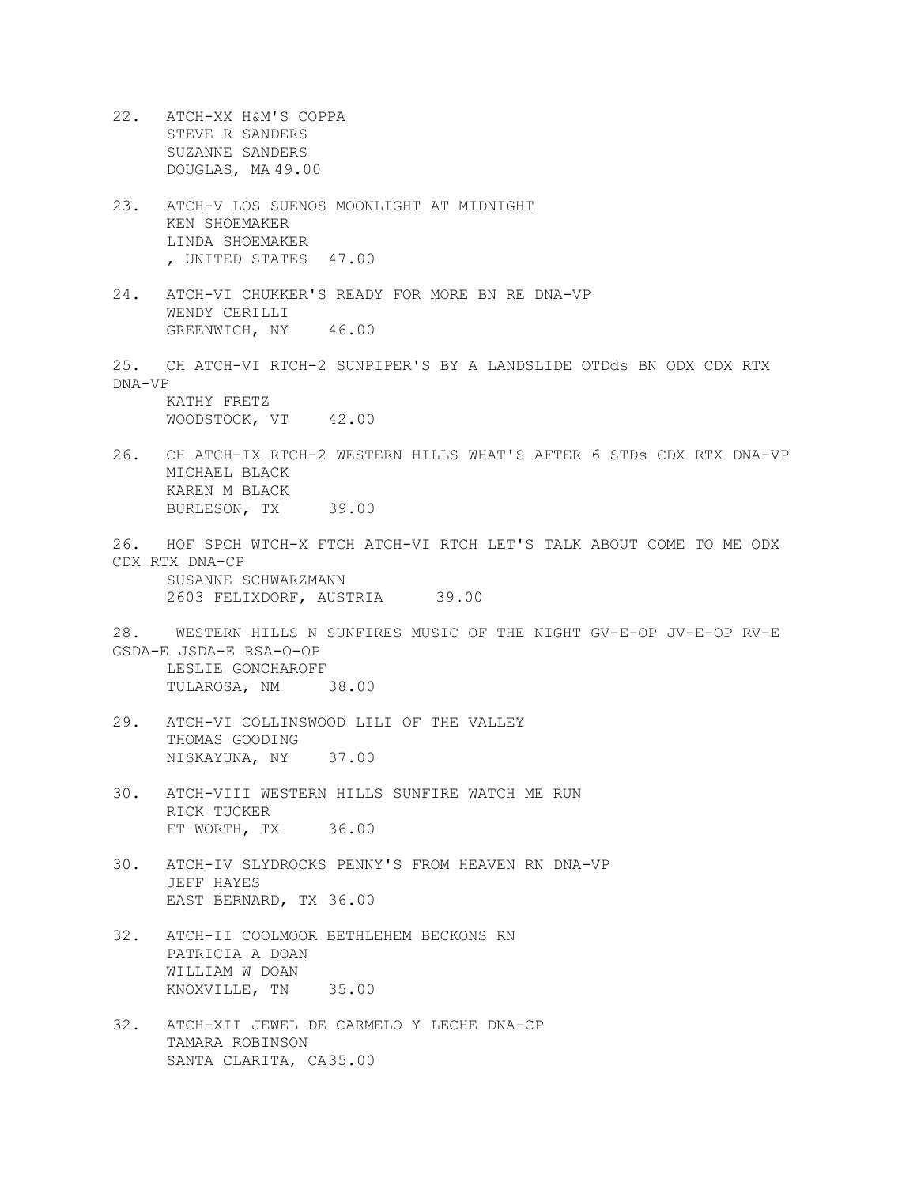22. ATCH-XX H&M'S COPPA STEVE R SANDERS SUZANNE SANDERS DOUGLAS, MA 49.00 23. ATCH-V LOS SUENOS MOONLIGHT AT MIDNIGHT KEN SHOEMAKER LINDA SHOEMAKER , UNITED STATES 47.00 24. ATCH-VI CHUKKER'S READY FOR MORE BN RE DNA-VP WENDY CERILLI GREENWICH, NY 46.00 25. CH ATCH-VI RTCH-2 SUNPIPER'S BY A LANDSLIDE OTDds BN ODX CDX RTX DNA-VP KATHY FRETZ WOODSTOCK, VT 42.00 26. CH ATCH-IX RTCH-2 WESTERN HILLS WHAT'S AFTER 6 STDs CDX RTX DNA-VP MICHAEL BLACK KAREN M BLACK BURLESON, TX 39.00 26. HOF SPCH WTCH-X FTCH ATCH-VI RTCH LET'S TALK ABOUT COME TO ME ODX CDX RTX DNA-CP SUSANNE SCHWARZMANN 2603 FELIXDORF, AUSTRIA 39.00 28. WESTERN HILLS N SUNFIRES MUSIC OF THE NIGHT GV-E-OP JV-E-OP RV-E GSDA-E JSDA-E RSA-O-OP LESLIE GONCHAROFF TULAROSA, NM 38.00 29. ATCH-VI COLLINSWOOD LILI OF THE VALLEY THOMAS GOODING NISKAYUNA, NY 37.00 30. ATCH-VIII WESTERN HILLS SUNFIRE WATCH ME RUN RICK TUCKER FT WORTH, TX 36.00 30. ATCH-IV SLYDROCKS PENNY'S FROM HEAVEN RN DNA-VP JEFF HAYES EAST BERNARD, TX 36.00 32. ATCH-II COOLMOOR BETHLEHEM BECKONS RN PATRICIA A DOAN WILLIAM W DOAN KNOXVILLE, TN 35.00 32. ATCH-XII JEWEL DE CARMELO Y LECHE DNA-CP TAMARA ROBINSON SANTA CLARITA, CA35.00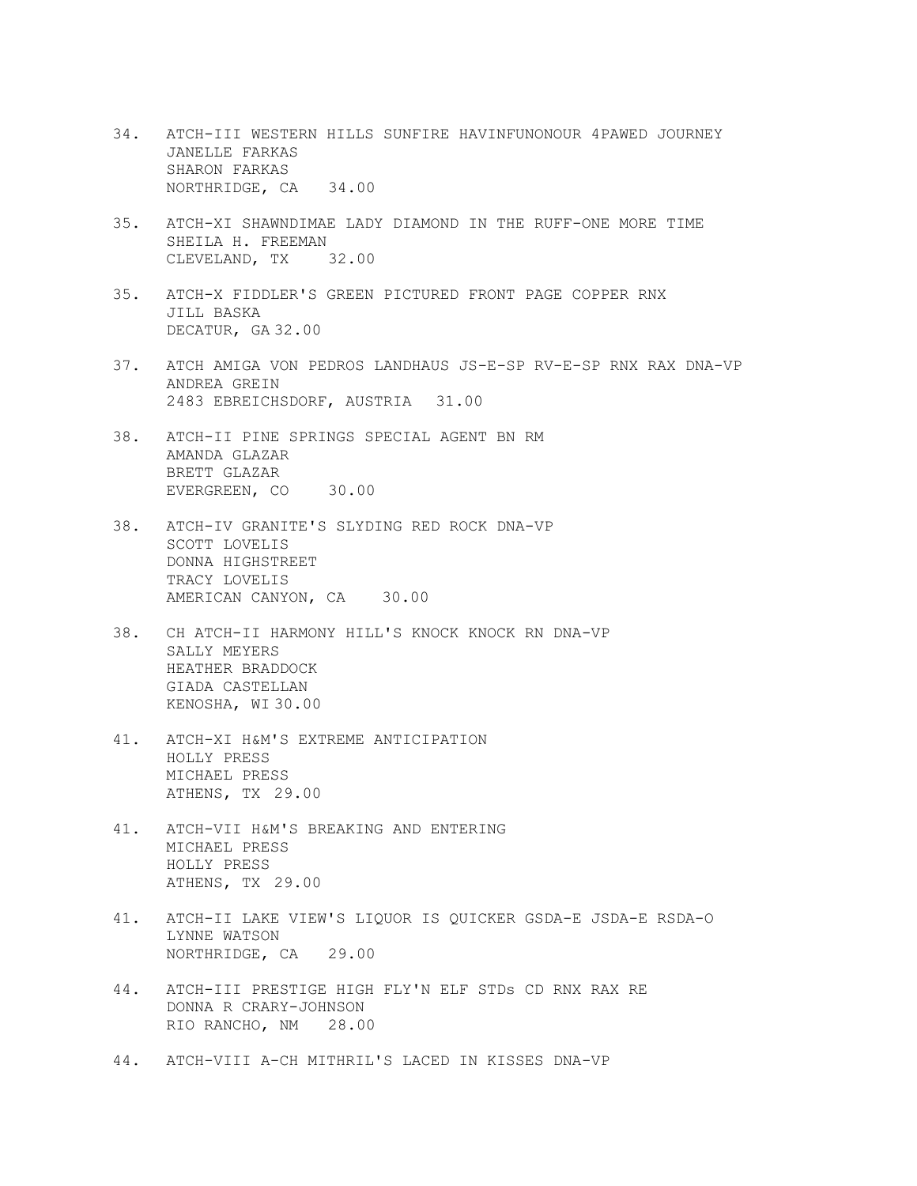- 34. ATCH-III WESTERN HILLS SUNFIRE HAVINFUNONOUR 4PAWED JOURNEY JANELLE FARKAS SHARON FARKAS NORTHRIDGE, CA 34.00
- 35. ATCH-XI SHAWNDIMAE LADY DIAMOND IN THE RUFF-ONE MORE TIME SHEILA H. FREEMAN CLEVELAND, TX 32.00
- 35. ATCH-X FIDDLER'S GREEN PICTURED FRONT PAGE COPPER RNX JILL BASKA DECATUR, GA 32.00
- 37. ATCH AMIGA VON PEDROS LANDHAUS JS-E-SP RV-E-SP RNX RAX DNA-VP ANDREA GREIN 2483 EBREICHSDORF, AUSTRIA 31.00
- 38. ATCH-II PINE SPRINGS SPECIAL AGENT BN RM AMANDA GLAZAR BRETT GLAZAR EVERGREEN, CO 30.00
- 38. ATCH-IV GRANITE'S SLYDING RED ROCK DNA-VP SCOTT LOVELIS DONNA HIGHSTREET TRACY LOVELIS AMERICAN CANYON, CA 30.00
- 38. CH ATCH-II HARMONY HILL'S KNOCK KNOCK RN DNA-VP SALLY MEYERS HEATHER BRADDOCK GIADA CASTELLAN KENOSHA, WI 30.00
- 41. ATCH-XI H&M'S EXTREME ANTICIPATION HOLLY PRESS MICHAEL PRESS ATHENS, TX 29.00
- 41. ATCH-VII H&M'S BREAKING AND ENTERING MICHAEL PRESS HOLLY PRESS ATHENS, TX 29.00
- 41. ATCH-II LAKE VIEW'S LIQUOR IS QUICKER GSDA-E JSDA-E RSDA-O LYNNE WATSON NORTHRIDGE, CA 29.00
- 44. ATCH-III PRESTIGE HIGH FLY'N ELF STDs CD RNX RAX RE DONNA R CRARY-JOHNSON RIO RANCHO, NM 28.00
- 44. ATCH-VIII A-CH MITHRIL'S LACED IN KISSES DNA-VP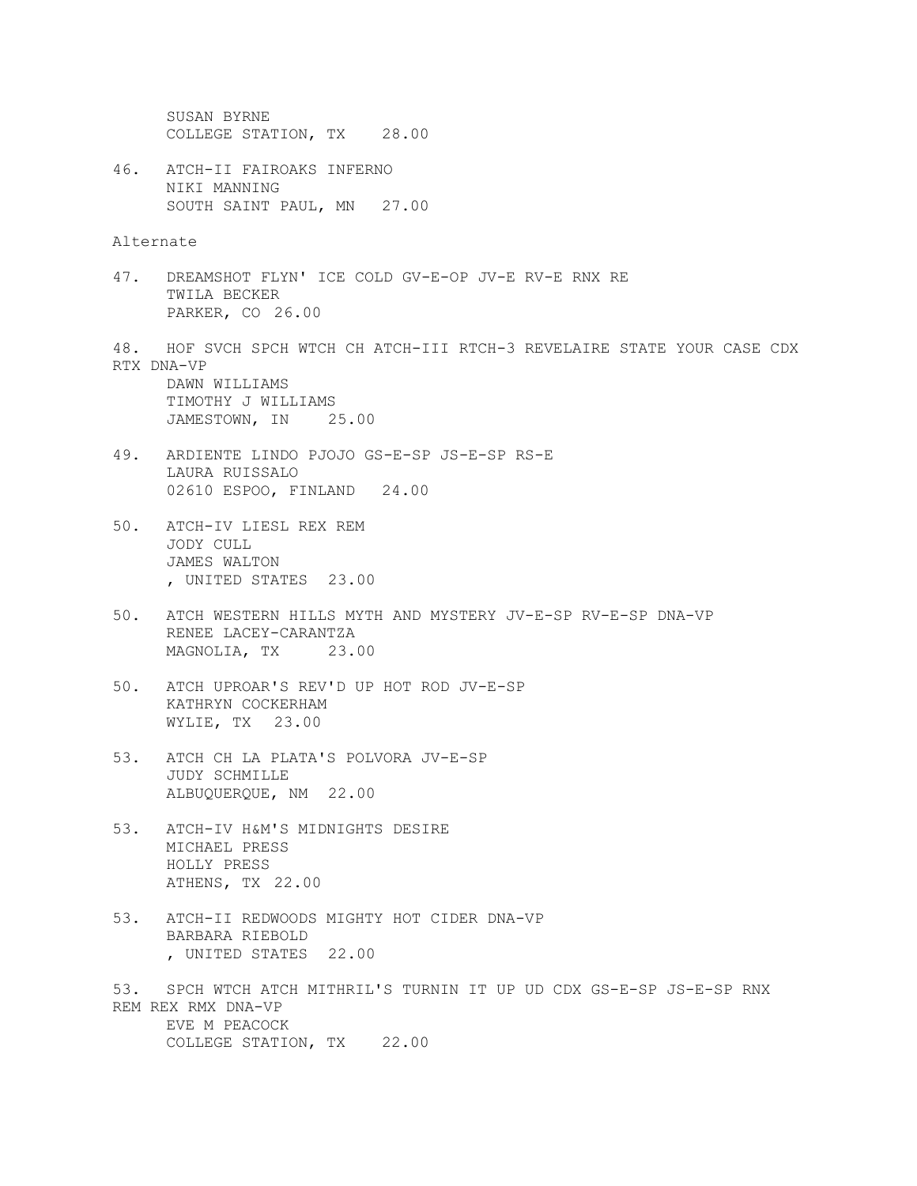SUSAN BYRNE COLLEGE STATION, TX 28.00 46. ATCH-II FAIROAKS INFERNO NIKI MANNING SOUTH SAINT PAUL, MN 27.00 Alternate 47. DREAMSHOT FLYN' ICE COLD GV-E-OP JV-E RV-E RNX RE TWILA BECKER PARKER, CO 26.00 48. HOF SVCH SPCH WTCH CH ATCH-III RTCH-3 REVELAIRE STATE YOUR CASE CDX RTX DNA-VP DAWN WILLIAMS TIMOTHY J WILLIAMS JAMESTOWN, IN 25.00 49. ARDIENTE LINDO PJOJO GS-E-SP JS-E-SP RS-E LAURA RUISSALO 02610 ESPOO, FINLAND 24.00 50. ATCH-IV LIESL REX REM JODY CULL JAMES WALTON , UNITED STATES 23.00

- 50. ATCH WESTERN HILLS MYTH AND MYSTERY JV-E-SP RV-E-SP DNA-VP RENEE LACEY-CARANTZA MAGNOLIA, TX 23.00
- 50. ATCH UPROAR'S REV'D UP HOT ROD JV-E-SP KATHRYN COCKERHAM WYLIE, TX 23.00
- 53. ATCH CH LA PLATA'S POLVORA JV-E-SP JUDY SCHMILLE ALBUQUERQUE, NM 22.00
- 53. ATCH-IV H&M'S MIDNIGHTS DESIRE MICHAEL PRESS HOLLY PRESS ATHENS, TX 22.00
- 53. ATCH-II REDWOODS MIGHTY HOT CIDER DNA-VP BARBARA RIEBOLD , UNITED STATES 22.00
- 53. SPCH WTCH ATCH MITHRIL'S TURNIN IT UP UD CDX GS-E-SP JS-E-SP RNX REM REX RMX DNA-VP EVE M PEACOCK COLLEGE STATION, TX 22.00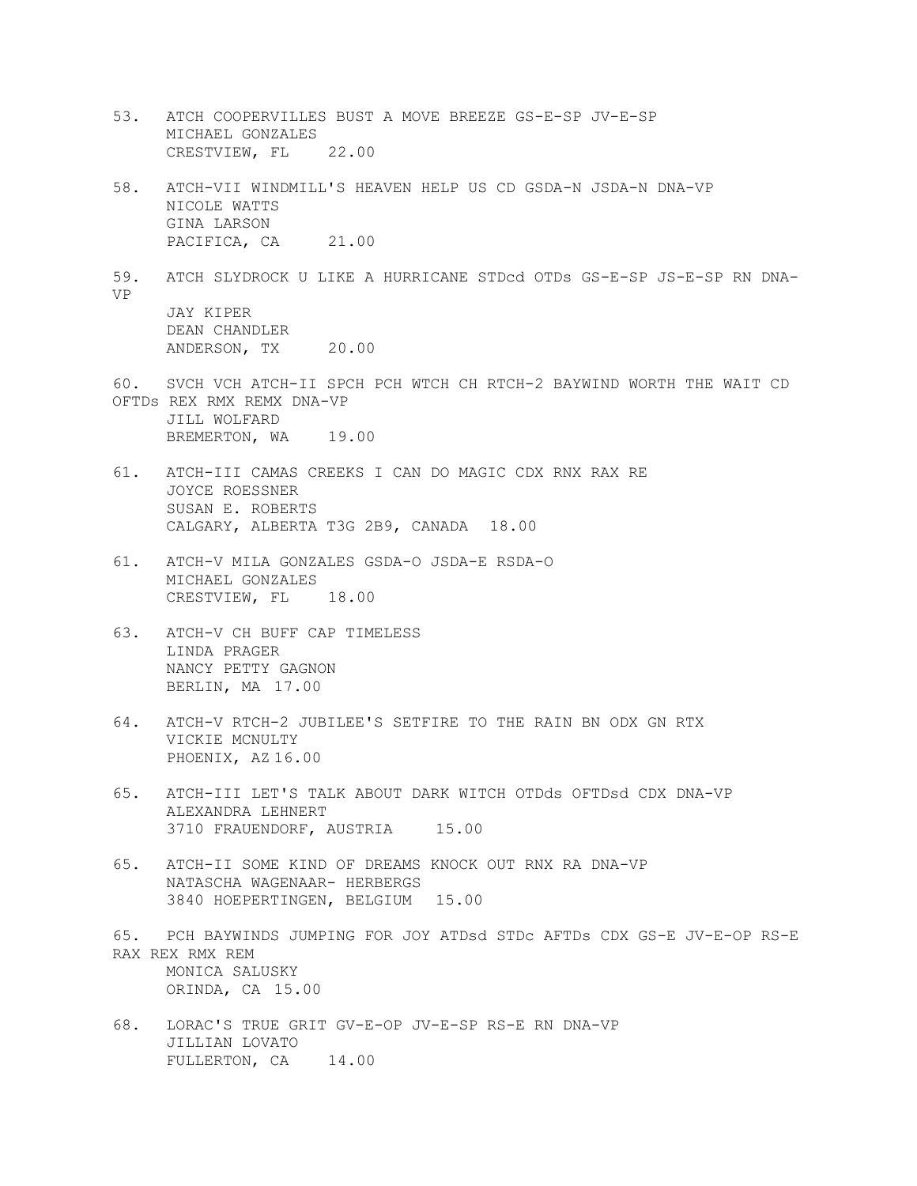- 53. ATCH COOPERVILLES BUST A MOVE BREEZE GS-E-SP JV-E-SP MICHAEL GONZALES CRESTVIEW, FL 22.00
- 58. ATCH-VII WINDMILL'S HEAVEN HELP US CD GSDA-N JSDA-N DNA-VP NICOLE WATTS GINA LARSON PACIFICA, CA 21.00
- 59. ATCH SLYDROCK U LIKE A HURRICANE STDcd OTDs GS-E-SP JS-E-SP RN DNA-VP JAY KIPER DEAN CHANDLER ANDERSON, TX 20.00
- 60. SVCH VCH ATCH-II SPCH PCH WTCH CH RTCH-2 BAYWIND WORTH THE WAIT CD OFTDs REX RMX REMX DNA-VP JILL WOLFARD BREMERTON, WA 19.00
- 61. ATCH-III CAMAS CREEKS I CAN DO MAGIC CDX RNX RAX RE JOYCE ROESSNER SUSAN E. ROBERTS CALGARY, ALBERTA T3G 2B9, CANADA 18.00
- 61. ATCH-V MILA GONZALES GSDA-O JSDA-E RSDA-O MICHAEL GONZALES CRESTVIEW, FL 18.00
- 63. ATCH-V CH BUFF CAP TIMELESS LINDA PRAGER NANCY PETTY GAGNON BERLIN, MA 17.00
- 64. ATCH-V RTCH-2 JUBILEE'S SETFIRE TO THE RAIN BN ODX GN RTX VICKIE MCNULTY PHOENIX, AZ 16.00
- 65. ATCH-III LET'S TALK ABOUT DARK WITCH OTDds OFTDsd CDX DNA-VP ALEXANDRA LEHNERT 3710 FRAUENDORF, AUSTRIA 15.00
- 65. ATCH-II SOME KIND OF DREAMS KNOCK OUT RNX RA DNA-VP NATASCHA WAGENAAR- HERBERGS 3840 HOEPERTINGEN, BELGIUM 15.00
- 65. PCH BAYWINDS JUMPING FOR JOY ATDsd STDc AFTDs CDX GS-E JV-E-OP RS-E RAX REX RMX REM MONICA SALUSKY ORINDA, CA 15.00
- 68. LORAC'S TRUE GRIT GV-E-OP JV-E-SP RS-E RN DNA-VP JILLIAN LOVATO FULLERTON, CA 14.00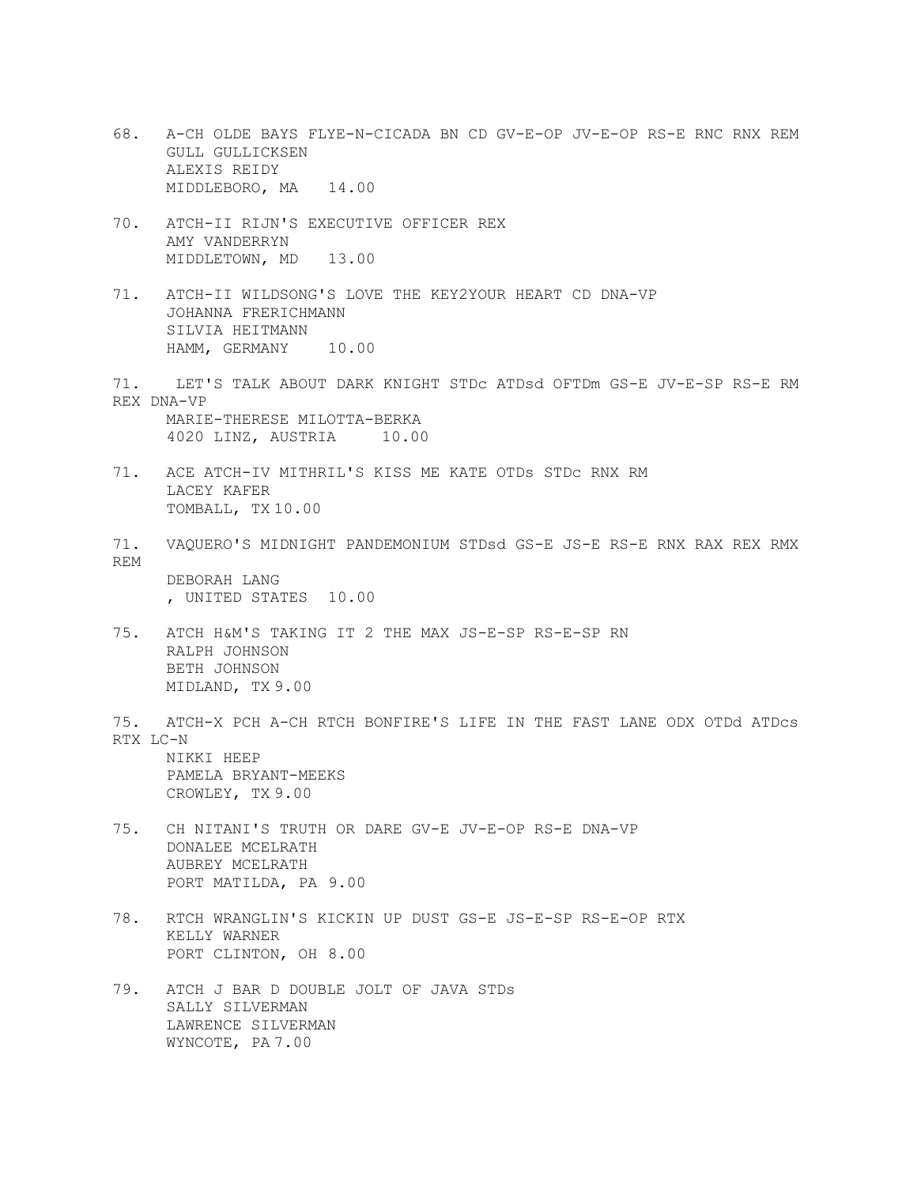- 68. A-CH OLDE BAYS FLYE-N-CICADA BN CD GV-E-OP JV-E-OP RS-E RNC RNX REM GULL GULLICKSEN ALEXIS REIDY MIDDLEBORO, MA 14.00
- 70. ATCH-II RIJN'S EXECUTIVE OFFICER REX AMY VANDERRYN MIDDLETOWN, MD 13.00
- 71. ATCH-II WILDSONG'S LOVE THE KEY2YOUR HEART CD DNA-VP JOHANNA FRERICHMANN SILVIA HEITMANN HAMM, GERMANY 10.00
- 71. LET'S TALK ABOUT DARK KNIGHT STDc ATDsd OFTDm GS-E JV-E-SP RS-E RM REX DNA-VP MARIE-THERESE MILOTTA-BERKA 4020 LINZ, AUSTRIA 10.00
- 71. ACE ATCH-IV MITHRIL'S KISS ME KATE OTDs STDc RNX RM LACEY KAFER TOMBALL, TX 10.00
- 71. VAQUERO'S MIDNIGHT PANDEMONIUM STDsd GS-E JS-E RS-E RNX RAX REX RMX REM DEBORAH LANG , UNITED STATES 10.00
- 75. ATCH H&M'S TAKING IT 2 THE MAX JS-E-SP RS-E-SP RN RALPH JOHNSON BETH JOHNSON MIDLAND, TX 9.00
- 75. ATCH-X PCH A-CH RTCH BONFIRE'S LIFE IN THE FAST LANE ODX OTDd ATDcs RTX LC-N NIKKI HEEP PAMELA BRYANT-MEEKS

CROWLEY, TX 9.00

- 75. CH NITANI'S TRUTH OR DARE GV-E JV-E-OP RS-E DNA-VP DONALEE MCELRATH AUBREY MCELRATH PORT MATILDA, PA 9.00
- 78. RTCH WRANGLIN'S KICKIN UP DUST GS-E JS-E-SP RS-E-OP RTX KELLY WARNER PORT CLINTON, OH 8.00
- 79. ATCH J BAR D DOUBLE JOLT OF JAVA STDs SALLY SILVERMAN LAWRENCE SILVERMAN WYNCOTE, PA 7.00